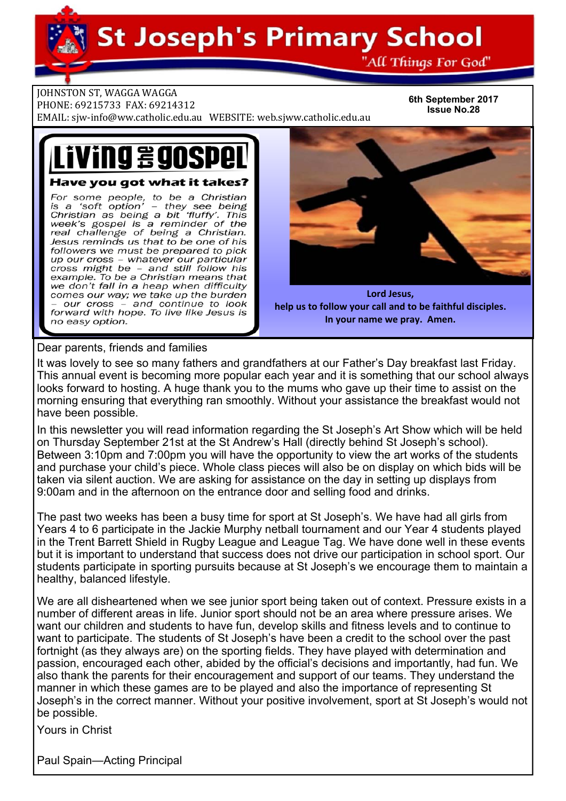**St Joseph's Primary School** 

"All Things For God"

**JOHNSTON ST, WAGGA WAGGA** 

PHONE: 69215733 FAX: 69214312

EMAIL: sjw-info@ww.catholic.edu.au WEBSITE: web.sjww.catholic.edu.au

**6th September 2017 Issue No.28** 

# ving 290SPe Have you got what it takes?

For some people, to be a Christian<br>is a 'soft option' – they see being<br>Christian as being a bit 'fluffy'. This week's gospel is a reminder of the<br>real challenge of being a Christian. Jesus reminds us that to be one of his followers we must be prepared to pick up our cross - whatever our particular cross might be - and still follow his example. To be a Christian means that we don't fall in a heap when difficulty comes our way; we take up the burden our cross - and continue to look forward with hope. To live like Jesus is no easy option.



**Lord Jesus, help us to follow your call and to be faithful disciples. In your name we pray. Amen.**

Dear parents, friends and families

It was lovely to see so many fathers and grandfathers at our Father's Day breakfast last Friday. This annual event is becoming more popular each year and it is something that our school always looks forward to hosting. A huge thank you to the mums who gave up their time to assist on the morning ensuring that everything ran smoothly. Without your assistance the breakfast would not have been possible.

In this newsletter you will read information regarding the St Joseph's Art Show which will be held on Thursday September 21st at the St Andrew's Hall (directly behind St Joseph's school). Between 3:10pm and 7:00pm you will have the opportunity to view the art works of the students and purchase your child's piece. Whole class pieces will also be on display on which bids will be taken via silent auction. We are asking for assistance on the day in setting up displays from 9:00am and in the afternoon on the entrance door and selling food and drinks.

The past two weeks has been a busy time for sport at St Joseph's. We have had all girls from Years 4 to 6 participate in the Jackie Murphy netball tournament and our Year 4 students played in the Trent Barrett Shield in Rugby League and League Tag. We have done well in these events but it is important to understand that success does not drive our participation in school sport. Our students participate in sporting pursuits because at St Joseph's we encourage them to maintain a healthy, balanced lifestyle.

We are all disheartened when we see junior sport being taken out of context. Pressure exists in a number of different areas in life. Junior sport should not be an area where pressure arises. We want our children and students to have fun, develop skills and fitness levels and to continue to want to participate. The students of St Joseph's have been a credit to the school over the past fortnight (as they always are) on the sporting fields. They have played with determination and passion, encouraged each other, abided by the official's decisions and importantly, had fun. We also thank the parents for their encouragement and support of our teams. They understand the manner in which these games are to be played and also the importance of representing St Joseph's in the correct manner. Without your positive involvement, sport at St Joseph's would not be possible.

Yours in Christ

Paul Spain—Acting Principal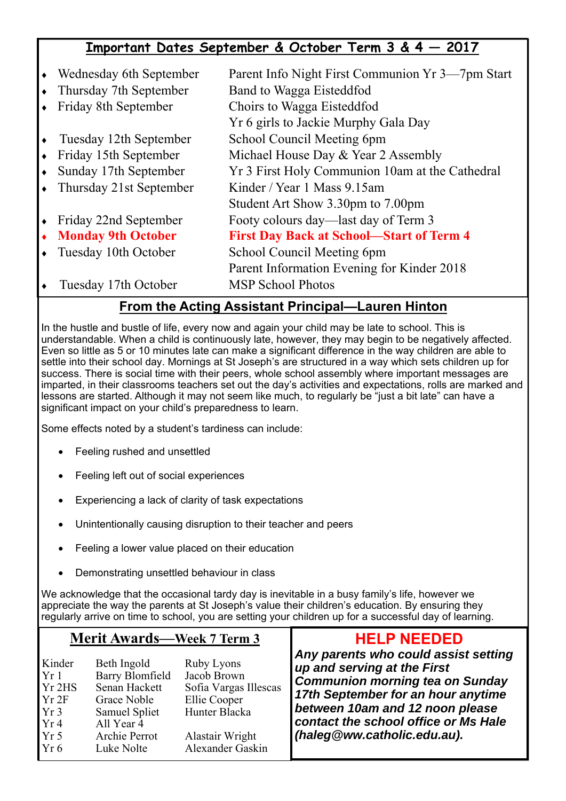## **Important Dates September & October Term 3 & 4 — 2017**

| Wednesday 6th September   | Parent Info Night First Communion Yr 3—7pm Start |
|---------------------------|--------------------------------------------------|
| Thursday 7th September    | Band to Wagga Eisteddfod                         |
| Friday 8th September      | Choirs to Wagga Eisteddfod                       |
|                           | Yr 6 girls to Jackie Murphy Gala Day             |
| Tuesday 12th September    | School Council Meeting 6pm                       |
| Friday 15th September     | Michael House Day & Year 2 Assembly              |
| Sunday 17th September     | Yr 3 First Holy Communion 10am at the Cathedral  |
| Thursday 21st September   | Kinder / Year 1 Mass 9.15am                      |
|                           | Student Art Show 3.30pm to 7.00pm                |
| Friday 22nd September     | Footy colours day—last day of Term 3             |
| <b>Monday 9th October</b> | <b>First Day Back at School-Start of Term 4</b>  |
| Tuesday 10th October      | School Council Meeting 6pm                       |
|                           | Parent Information Evening for Kinder 2018       |
| Tuesday 17th October      | <b>MSP School Photos</b>                         |

### **From the Acting Assistant Principal—Lauren Hinton**

In the hustle and bustle of life, every now and again your child may be late to school. This is understandable. When a child is continuously late, however, they may begin to be negatively affected. Even so little as 5 or 10 minutes late can make a significant difference in the way children are able to settle into their school day. Mornings at St Joseph's are structured in a way which sets children up for success. There is social time with their peers, whole school assembly where important messages are imparted, in their classrooms teachers set out the day's activities and expectations, rolls are marked and lessons are started. Although it may not seem like much, to regularly be "just a bit late" can have a significant impact on your child's preparedness to learn.

Some effects noted by a student's tardiness can include:

- Feeling rushed and unsettled
- Feeling left out of social experiences
- Experiencing a lack of clarity of task expectations
- Unintentionally causing disruption to their teacher and peers
- Feeling a lower value placed on their education
- Demonstrating unsettled behaviour in class

We acknowledge that the occasional tardy day is inevitable in a busy family's life, however we appreciate the way the parents at St Joseph's value their children's education. By ensuring they regularly arrive on time to school, you are setting your children up for a successful day of learning.

### **Merit Awards—Week 7 Term 3**

| Kinder          | Beth Ingold            | <b>Ruby Lyons</b>     |
|-----------------|------------------------|-----------------------|
| Yr1             | <b>Barry Blomfield</b> | Jacob Brown           |
| $Yr$ 2HS        | Senan Hackett          | Sofia Vargas Illescas |
| $Yr$ 2F         | Grace Noble            | Ellie Cooper          |
| Yr <sub>3</sub> | Samuel Spliet          | Hunter Blacka         |
| Yr4             | All Year 4             |                       |
| Yr <sub>5</sub> | Archie Perrot          | Alastair Wright       |
| Yr 6            | Luke Nolte             | Alexander Gaskin      |

### **HELP NEEDED**

*Any parents who could assist setting up and serving at the First Communion morning tea on Sunday 17th September for an hour anytime between 10am and 12 noon please contact the school office or Ms Hale (haleg@ww.catholic.edu.au).*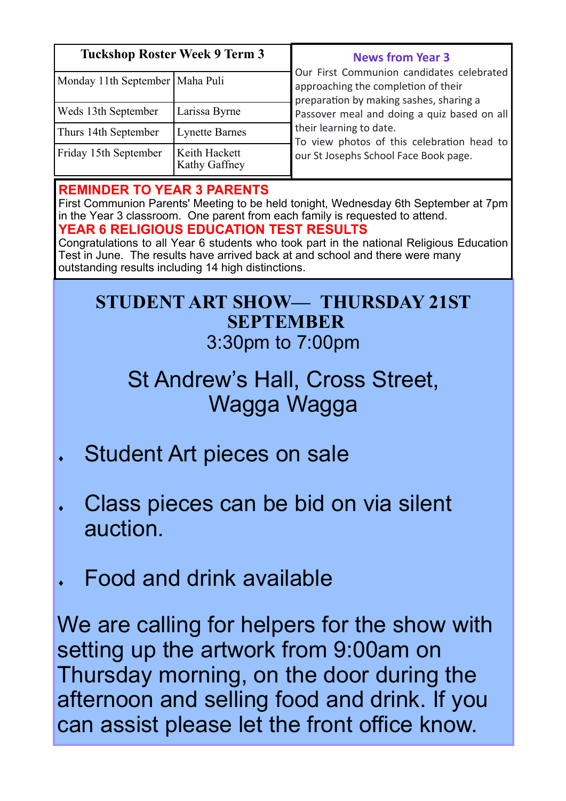| <b>Tuckshop Roster Week 9 Term 3</b>          |                                | <b>News from Year 3</b>                                                                                                     |  |
|-----------------------------------------------|--------------------------------|-----------------------------------------------------------------------------------------------------------------------------|--|
| Monday 11th September   Maha Puli             |                                | Our First Communion candidates celebrated<br>approaching the completion of their<br>preparation by making sashes, sharing a |  |
| Weds 13th September                           | Larissa Byrne                  | Passover meal and doing a quiz based on all                                                                                 |  |
| <b>Lynette Barnes</b><br>Thurs 14th September |                                | their learning to date.<br>To view photos of this celebration head to                                                       |  |
| Friday 15th September                         | Keith Hackett<br>Kathy Gaffney | our St Josephs School Face Book page.                                                                                       |  |

### **REMINDER TO YEAR 3 PARENTS**

First Communion Parents' Meeting to be held tonight, Wednesday 6th September at 7pm in the Year 3 classroom. One parent from each family is requested to attend. **YEAR 6 RELIGIOUS EDUCATION TEST RESULTS** 

Congratulations to all Year 6 students who took part in the national Religious Education Test in June. The results have arrived back at and school and there were many outstanding results including 14 high distinctions.

## **STUDENT ART SHOW— THURSDAY 21ST SEPTEMBER**  3:30pm to 7:00pm

# St Andrew's Hall, Cross Street, Wagga Wagga

- Student Art pieces on sale
- Class pieces can be bid on via silent auction.
- Food and drink available

We are calling for helpers for the show with setting up the artwork from 9:00am on Thursday morning, on the door during the afternoon and selling food and drink. If you can assist please let the front office know.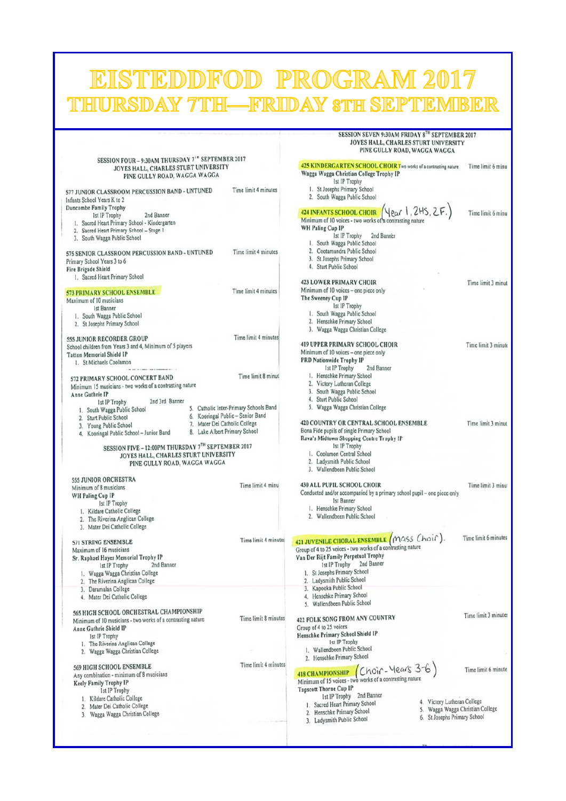| PROGRAM 2017<br>EISTEDDFOI<br>THURSDAY 7TH-FRIDAY 8TH SEPTEMBER                                                                                                                                      |                                                                                                                                                                               |                                                                                                                                                                                                                                             |                      |  |  |  |  |
|------------------------------------------------------------------------------------------------------------------------------------------------------------------------------------------------------|-------------------------------------------------------------------------------------------------------------------------------------------------------------------------------|---------------------------------------------------------------------------------------------------------------------------------------------------------------------------------------------------------------------------------------------|----------------------|--|--|--|--|
|                                                                                                                                                                                                      |                                                                                                                                                                               |                                                                                                                                                                                                                                             |                      |  |  |  |  |
|                                                                                                                                                                                                      |                                                                                                                                                                               | SESSION SEVEN 9:30AM FRIDAY 8TH SEPTEMBER 2017<br>JOYES HALL, CHARLES STURT UNIVERSITY<br>PINE GULLY ROAD, WAGGA WAGGA                                                                                                                      |                      |  |  |  |  |
| SESSION FOUR - 9:30AM THURSDAY 7 <sup>1n</sup> SEPTEMBER 2017<br>JOYES HALL, CHARLES STURT UNIVERSITY<br>PINE GULLY ROAD, WAGGA WAGGA                                                                |                                                                                                                                                                               | 425 KINDERGARTEN SCHOOL CHOIR Two works of a contrasting nature<br>Wagga Wagga Christian College Trophy IP<br>1st IP Trophy                                                                                                                 | Time limit 6 minu    |  |  |  |  |
| 577 JUNIOR CLASSROOM PERCUSSION BAND - UNTUNED<br>Infants School Years K to 2                                                                                                                        | Time limit 4 minutes                                                                                                                                                          | 1. St Josephs Primary School<br>2. South Wagga Public School                                                                                                                                                                                |                      |  |  |  |  |
| Duncombe Family Trophy<br>2nd Banner<br>1st IP Trophy<br>1. Sacred Heart Primary School - Kindergarten<br>2. Sacred Heart Primary School - Stage 1<br>3. South Wagga Public School                   |                                                                                                                                                                               | <b>424 INFANTS SCHOOL CHOIR</b> $(\text{Var} \mid, 2H5, 2F.)$<br>Minimum of 10 voices - two works of a contrasting nature<br>WH Paling Cup IP<br><b>Ist IP Trophy</b><br>2nd Banner<br>1. South Wagga Public School                         | Time limit 6 minu    |  |  |  |  |
| 575 SENIOR CLASSROOM PERCUSSION BAND - UNTUNED<br>Primary School Years 3 to 6<br>Fire Brigade Shield<br>1. Sacred Heart Primary School                                                               | Time limit 4 minutes                                                                                                                                                          | 2. Cootamundra Public School<br>3. St Josephs Primary School<br>4. Sturt Public School                                                                                                                                                      |                      |  |  |  |  |
| <b>573 PRIMARY SCHOOL ENSEMBLE</b><br>Maximum of 10 musicians<br>1st Banner<br>1. South Wagga Public School                                                                                          | Time limit 4 minutes                                                                                                                                                          | <b>423 LOWER PRIMARY CHOIR</b><br>Minimum of 10 voices - one piece only<br>The Sweeney Cup IP<br><b>Ist IP Trophy</b><br>1. South Wagga Public School                                                                                       | Time limit 3 minut   |  |  |  |  |
| 2. St Josephs Primary School<br>555 JUNIOR RECORDER GROUP                                                                                                                                            | Time limit 4 minutes                                                                                                                                                          | 2. Henschke Primary School<br>3. Wagga Wagga Christian College                                                                                                                                                                              |                      |  |  |  |  |
| School children from Years 3 and 4, Minimum of 5 players<br><b>Tatton Memorial Shield IP</b><br>1. St Michaels Coolamon                                                                              |                                                                                                                                                                               | <b>419 UPPER PRIMARY SCHOOL CHOIR</b><br>Minimum of 10 voices - one piece only<br><b>PRD Nationwide Trophy IP</b><br>1st IP Trophy<br>2nd Banner                                                                                            | Time limit 3 minute  |  |  |  |  |
| 572 PRIMARY SCHOOL CONCERT BAND<br>Minimum 15 musicians - two works of a contrasting nature<br>Anne Guthrie IP<br>2nd 3rd Banner<br>1st IP Trophy                                                    | Time limit 8 minut                                                                                                                                                            | 1. Henschke Primary School<br>2. Victory Lutheran College<br>3. South Wagga Public School<br>4. Sturt Public School<br>5. Wagga Wagga Christian College                                                                                     |                      |  |  |  |  |
| 2. Sturt Public School<br>3. Young Public School<br>4. Kooringal Public School - Junior Band                                                                                                         | 5. Catholic Inter-Primary Schools Band<br>1. South Wagga Public School<br>6. Kooringal Public - Senior Band<br>7. Mater Dei Catholic College<br>8. Lake Albert Primary School |                                                                                                                                                                                                                                             | Time limit 3 minut   |  |  |  |  |
| SESSION FIVE - 12:00PM THURSDAY 7TH SEPTEMBER 2017<br>JOYES HALL, CHARLES STURT UNIVERSITY<br>PINE GULLY ROAD, WAGGA WAGGA                                                                           |                                                                                                                                                                               | 1st IP Trophy<br>1. Coolamon Central School<br>2. Ladysmith Public School<br>3. Wallendbeen Public School                                                                                                                                   |                      |  |  |  |  |
| 555 JUNIOR ORCHESTRA<br>Minimum of 8 musicians<br>WH Paling Cup IP<br><b>Ist IP Trophy</b>                                                                                                           | Time limit 4 minu                                                                                                                                                             | 430 ALL PUPIL SCHOOL CHOIR<br>Conducted and/or accompanied by a primary school pupil – one piece only<br>1st Banner                                                                                                                         | Time limit 3 minu    |  |  |  |  |
| 1. Kildare Catholic College<br>2. The Riverina Anglican College<br>3. Mater Dei Catholic College                                                                                                     |                                                                                                                                                                               | 1. Henschke Primary School<br>2. Wallendbeen Public School                                                                                                                                                                                  |                      |  |  |  |  |
| 571 STRING ENSEMBLE<br>Maximum of 16 musicians<br>Sr. Raphael Hayes Memorial Trophy IP<br>2nd Banner<br><b>Ist IP Trophy</b><br>1. Wagga Wagga Christian College<br>2. The Riverina Anglican College | Time limit 4 minutes                                                                                                                                                          | 421 JUVENILE CHORAL ENSEMBLE (MASS Choir).<br>Group of 4 to 25 voices - two works of a contrasting nature<br>Van Der Rijt Family Perpetual Trophy<br>1st IP Trophy 2nd Banner<br>1. St Josephs Primary School<br>2. Ladysmith Public School | Time limit 6 minutes |  |  |  |  |
| 3. Daramalan College<br>4. Mater Dei Catholic College                                                                                                                                                |                                                                                                                                                                               | 3. Kapooka Public School<br>4. Henschke Primary School<br>5. Wallendbeen Public School                                                                                                                                                      |                      |  |  |  |  |
| 565 HIGH SCHOOL ORCHESTRAL CHAMPIONSHIP<br>Minimum of 10 musicians - two works of a contrasting nature<br>Anne Guthrie Shield IP<br>1st IP Trophy<br>1. The Riverina Anglican College                | Time limit 8 minutes                                                                                                                                                          | 422 FOLK SONG FROM ANY COUNTRY<br>Group of 4 to 25 voices<br>Henschke Primary School Shield IP<br><b>Ist IP Trophy</b>                                                                                                                      | Time limit 3 minutes |  |  |  |  |
| 2. Wagga Wagga Christian College                                                                                                                                                                     |                                                                                                                                                                               | 1. Wallendbeen Public School<br>2. Henschke Primary School                                                                                                                                                                                  |                      |  |  |  |  |
| 569 HIGH SCHOOL ENSEMBLE<br>Any combination - minimum of 8 musicians<br><b>Keely Family Trophy IP</b><br><b>Ist IP Trophy</b>                                                                        | Time limit 4 minutes                                                                                                                                                          | <b>418 CHAMPIONSHIP</b> Choir - Years 3-6<br><b>Tapscott Thorne Cup IP</b><br>1st IP Trophy 2nd Banner                                                                                                                                      | Time limit 6 minute  |  |  |  |  |
| 1. Kildare Catholic College<br>2. Mater Dei Catholic College<br>3. Wagga Wagga Christian College                                                                                                     |                                                                                                                                                                               | 4. Victory Lutheran College<br>1. Sacred Heart Primary School<br>5. Wagga Wagga Christian College<br>2. Henschke Primary School<br>6. St Josephs Primary School<br>3. Ladysmith Public School                                               |                      |  |  |  |  |
|                                                                                                                                                                                                      |                                                                                                                                                                               |                                                                                                                                                                                                                                             |                      |  |  |  |  |